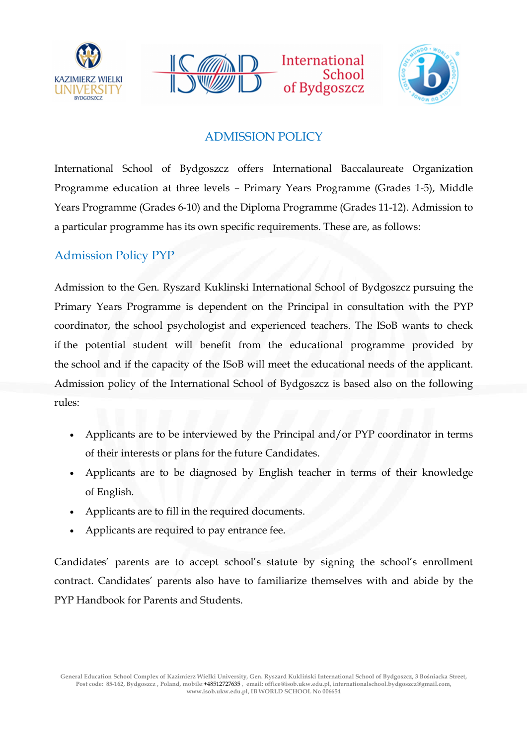





School

## ADMISSION POLICY

International School of Bydgoszcz offers International Baccalaureate Organization Programme education at three levels – Primary Years Programme (Grades 1-5), Middle Years Programme (Grades 6-10) and the Diploma Programme (Grades 11-12). Admission to a particular programme has its own specific requirements. These are, as follows:

## Admission Policy PYP

Admission to the Gen. Ryszard Kuklinski International School of Bydgoszcz pursuing the Primary Years Programme is dependent on the Principal in consultation with the PYP coordinator, the school psychologist and experienced teachers. The ISoB wants to check if the potential student will benefit from the educational programme provided by the school and if the capacity of the ISoB will meet the educational needs of the applicant. Admission policy of the International School of Bydgoszcz is based also on the following rules:

- Applicants are to be interviewed by the Principal and/or PYP coordinator in terms of their interests or plans for the future Candidates.
- Applicants are to be diagnosed by English teacher in terms of their knowledge of English.
- Applicants are to fill in the required documents.
- Applicants are required to pay entrance fee.

Candidates' parents are to accept school's statute by signing the school's enrollment contract. Candidates' parents also have to familiarize themselves with and abide by the PYP Handbook for Parents and Students.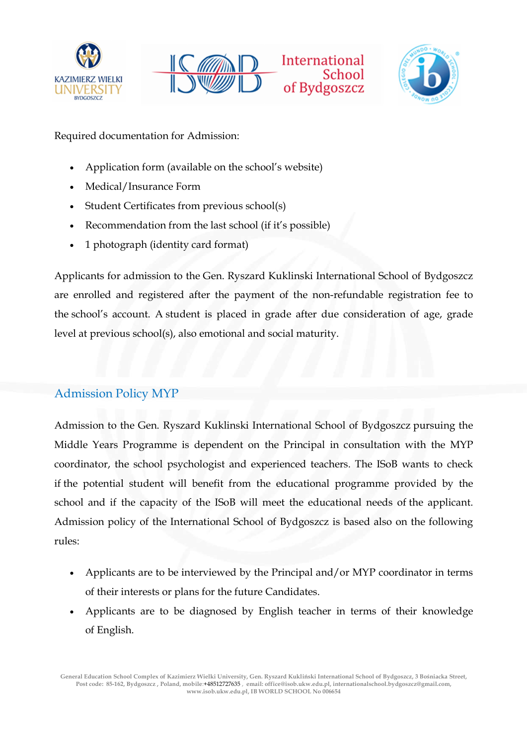





Required documentation for Admission:

- Application form (available on the school's website)
- Medical/Insurance Form
- Student Certificates from previous school(s)
- Recommendation from the last school (if it's possible)
- 1 photograph (identity card format)

Applicants for admission to the Gen. Ryszard Kuklinski International School of Bydgoszcz are enrolled and registered after the payment of the non-refundable registration fee to the school's account. A student is placed in grade after due consideration of age, grade level at previous school(s), also emotional and social maturity.

## Admission Policy MYP

Admission to the Gen. Ryszard Kuklinski International School of Bydgoszcz pursuing the Middle Years Programme is dependent on the Principal in consultation with the MYP coordinator, the school psychologist and experienced teachers. The ISoB wants to check if the potential student will benefit from the educational programme provided by the school and if the capacity of the ISoB will meet the educational needs of the applicant. Admission policy of the International School of Bydgoszcz is based also on the following rules:

- Applicants are to be interviewed by the Principal and/or MYP coordinator in terms of their interests or plans for the future Candidates.
- Applicants are to be diagnosed by English teacher in terms of their knowledge of English.

General Education School Complex of Kazimierz Wielki University, Gen. Ryszard Kukliński International School of Bydgoszcz, 3 Bośniacka Street, Post code: 85-162, Bydgoszcz , Poland, mobile:+48512727635 , email: office@isob.ukw.edu.pl, internationalschool.bydgoszcz@gmail.com, www.isob.ukw.edu.pl, IB WORLD SCHOOL No 006654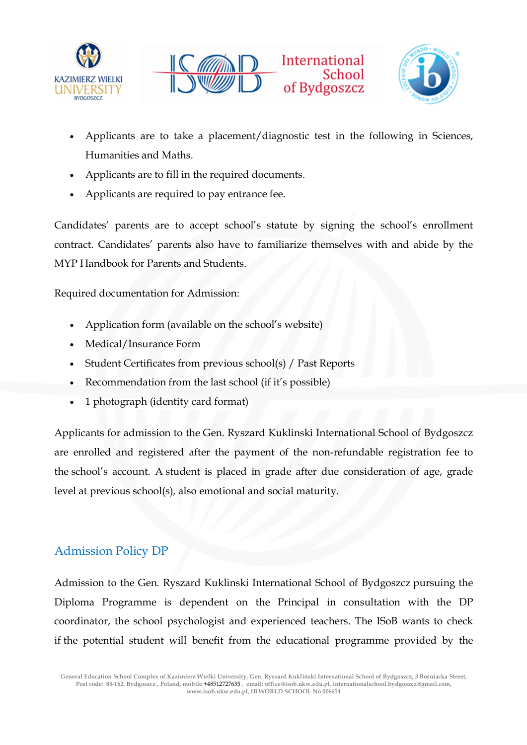





- Applicants are to take a placement/diagnostic test in the following in Sciences, Humanities and Maths.
- Applicants are to fill in the required documents.
- Applicants are required to pay entrance fee.

Candidates' parents are to accept school's statute by signing the school's enrollment contract. Candidates' parents also have to familiarize themselves with and abide by the MYP Handbook for Parents and Students.

Required documentation for Admission:

- Application form (available on the school's website)
- Medical/Insurance Form
- Student Certificates from previous school(s) / Past Reports
- Recommendation from the last school (if it's possible)
- 1 photograph (identity card format)

Applicants for admission to the Gen. Ryszard Kuklinski International School of Bydgoszcz are enrolled and registered after the payment of the non-refundable registration fee to the school's account. A student is placed in grade after due consideration of age, grade level at previous school(s), also emotional and social maturity.

## Admission Policy DP

Admission to the Gen. Ryszard Kuklinski International School of Bydgoszcz pursuing the Diploma Programme is dependent on the Principal in consultation with the DP coordinator, the school psychologist and experienced teachers. The ISoB wants to check if the potential student will benefit from the educational programme provided by the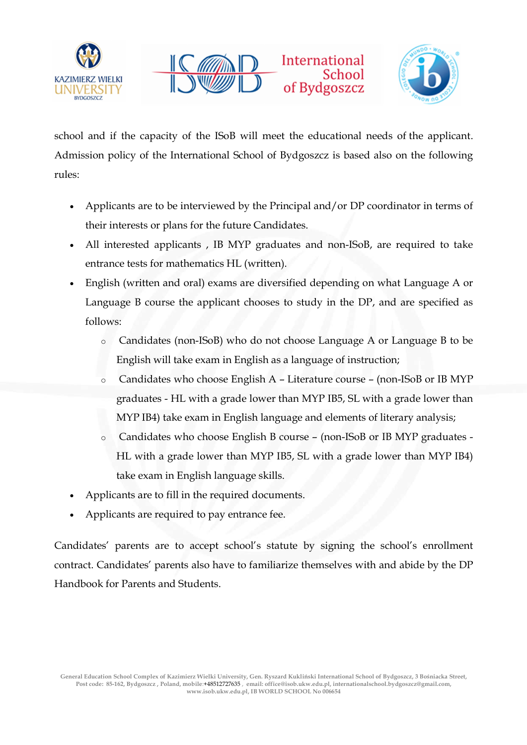





school and if the capacity of the ISoB will meet the educational needs of the applicant. Admission policy of the International School of Bydgoszcz is based also on the following rules:

- Applicants are to be interviewed by the Principal and/or DP coordinator in terms of their interests or plans for the future Candidates.
- All interested applicants , IB MYP graduates and non-ISoB, are required to take entrance tests for mathematics HL (written).
- English (written and oral) exams are diversified depending on what Language A or Language B course the applicant chooses to study in the DP, and are specified as follows:
	- o Candidates (non-ISoB) who do not choose Language A or Language B to be English will take exam in English as a language of instruction;
	- o Candidates who choose English A Literature course (non-ISoB or IB MYP graduates - HL with a grade lower than MYP IB5, SL with a grade lower than MYP IB4) take exam in English language and elements of literary analysis;
	- o Candidates who choose English B course (non-ISoB or IB MYP graduates HL with a grade lower than MYP IB5, SL with a grade lower than MYP IB4) take exam in English language skills.
- Applicants are to fill in the required documents.
- Applicants are required to pay entrance fee.

Candidates' parents are to accept school's statute by signing the school's enrollment contract. Candidates' parents also have to familiarize themselves with and abide by the DP Handbook for Parents and Students.